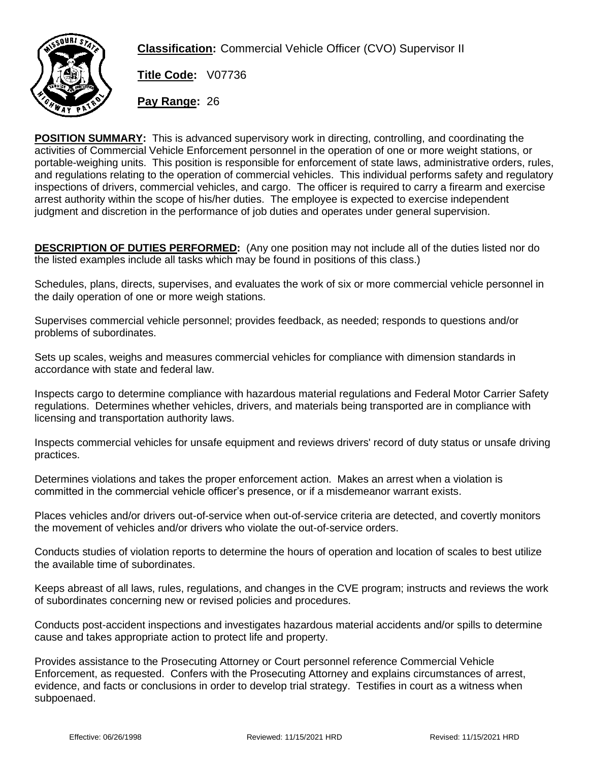

**Classification:** Commercial Vehicle Officer (CVO) Supervisor II

**Title Code:** V07736

**Pay Range:** 26

**POSITION SUMMARY:** This is advanced supervisory work in directing, controlling, and coordinating the activities of Commercial Vehicle Enforcement personnel in the operation of one or more weight stations, or portable-weighing units. This position is responsible for enforcement of state laws, administrative orders, rules, and regulations relating to the operation of commercial vehicles. This individual performs safety and regulatory inspections of drivers, commercial vehicles, and cargo. The officer is required to carry a firearm and exercise arrest authority within the scope of his/her duties. The employee is expected to exercise independent judgment and discretion in the performance of job duties and operates under general supervision.

**DESCRIPTION OF DUTIES PERFORMED:** (Any one position may not include all of the duties listed nor do the listed examples include all tasks which may be found in positions of this class.)

Schedules, plans, directs, supervises, and evaluates the work of six or more commercial vehicle personnel in the daily operation of one or more weigh stations.

Supervises commercial vehicle personnel; provides feedback, as needed; responds to questions and/or problems of subordinates.

Sets up scales, weighs and measures commercial vehicles for compliance with dimension standards in accordance with state and federal law.

Inspects cargo to determine compliance with hazardous material regulations and Federal Motor Carrier Safety regulations. Determines whether vehicles, drivers, and materials being transported are in compliance with licensing and transportation authority laws.

Inspects commercial vehicles for unsafe equipment and reviews drivers' record of duty status or unsafe driving practices.

Determines violations and takes the proper enforcement action. Makes an arrest when a violation is committed in the commercial vehicle officer's presence, or if a misdemeanor warrant exists.

Places vehicles and/or drivers out-of-service when out-of-service criteria are detected, and covertly monitors the movement of vehicles and/or drivers who violate the out-of-service orders.

Conducts studies of violation reports to determine the hours of operation and location of scales to best utilize the available time of subordinates.

Keeps abreast of all laws, rules, regulations, and changes in the CVE program; instructs and reviews the work of subordinates concerning new or revised policies and procedures.

Conducts post-accident inspections and investigates hazardous material accidents and/or spills to determine cause and takes appropriate action to protect life and property.

Provides assistance to the Prosecuting Attorney or Court personnel reference Commercial Vehicle Enforcement, as requested. Confers with the Prosecuting Attorney and explains circumstances of arrest, evidence, and facts or conclusions in order to develop trial strategy. Testifies in court as a witness when subpoenaed.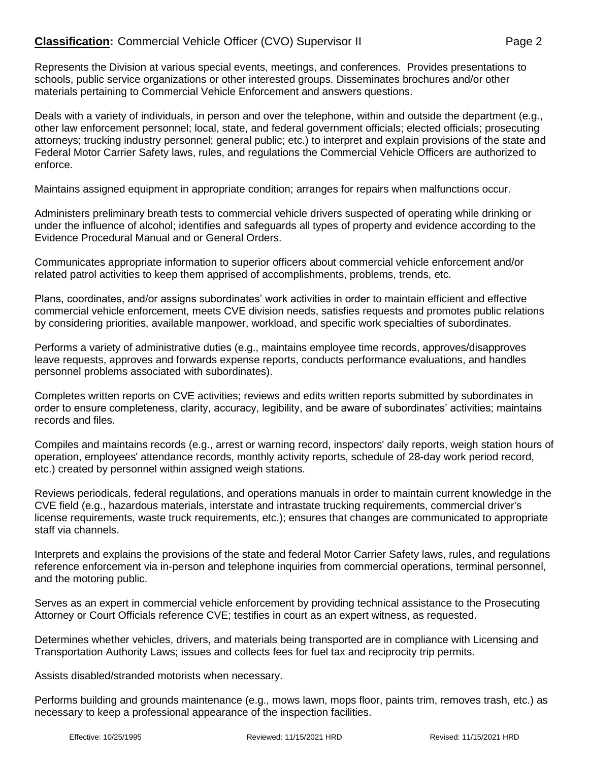Represents the Division at various special events, meetings, and conferences. Provides presentations to schools, public service organizations or other interested groups. Disseminates brochures and/or other materials pertaining to Commercial Vehicle Enforcement and answers questions.

Deals with a variety of individuals, in person and over the telephone, within and outside the department (e.g., other law enforcement personnel; local, state, and federal government officials; elected officials; prosecuting attorneys; trucking industry personnel; general public; etc.) to interpret and explain provisions of the state and Federal Motor Carrier Safety laws, rules, and regulations the Commercial Vehicle Officers are authorized to enforce.

Maintains assigned equipment in appropriate condition; arranges for repairs when malfunctions occur.

Administers preliminary breath tests to commercial vehicle drivers suspected of operating while drinking or under the influence of alcohol; identifies and safeguards all types of property and evidence according to the Evidence Procedural Manual and or General Orders.

Communicates appropriate information to superior officers about commercial vehicle enforcement and/or related patrol activities to keep them apprised of accomplishments, problems, trends, etc.

Plans, coordinates, and/or assigns subordinates' work activities in order to maintain efficient and effective commercial vehicle enforcement, meets CVE division needs, satisfies requests and promotes public relations by considering priorities, available manpower, workload, and specific work specialties of subordinates.

Performs a variety of administrative duties (e.g., maintains employee time records, approves/disapproves leave requests, approves and forwards expense reports, conducts performance evaluations, and handles personnel problems associated with subordinates).

Completes written reports on CVE activities; reviews and edits written reports submitted by subordinates in order to ensure completeness, clarity, accuracy, legibility, and be aware of subordinates' activities; maintains records and files.

Compiles and maintains records (e.g., arrest or warning record, inspectors' daily reports, weigh station hours of operation, employees' attendance records, monthly activity reports, schedule of 28-day work period record, etc.) created by personnel within assigned weigh stations.

Reviews periodicals, federal regulations, and operations manuals in order to maintain current knowledge in the CVE field (e.g., hazardous materials, interstate and intrastate trucking requirements, commercial driver's license requirements, waste truck requirements, etc.); ensures that changes are communicated to appropriate staff via channels.

Interprets and explains the provisions of the state and federal Motor Carrier Safety laws, rules, and regulations reference enforcement via in-person and telephone inquiries from commercial operations, terminal personnel, and the motoring public.

Serves as an expert in commercial vehicle enforcement by providing technical assistance to the Prosecuting Attorney or Court Officials reference CVE; testifies in court as an expert witness, as requested.

Determines whether vehicles, drivers, and materials being transported are in compliance with Licensing and Transportation Authority Laws; issues and collects fees for fuel tax and reciprocity trip permits.

Assists disabled/stranded motorists when necessary.

Performs building and grounds maintenance (e.g., mows lawn, mops floor, paints trim, removes trash, etc.) as necessary to keep a professional appearance of the inspection facilities.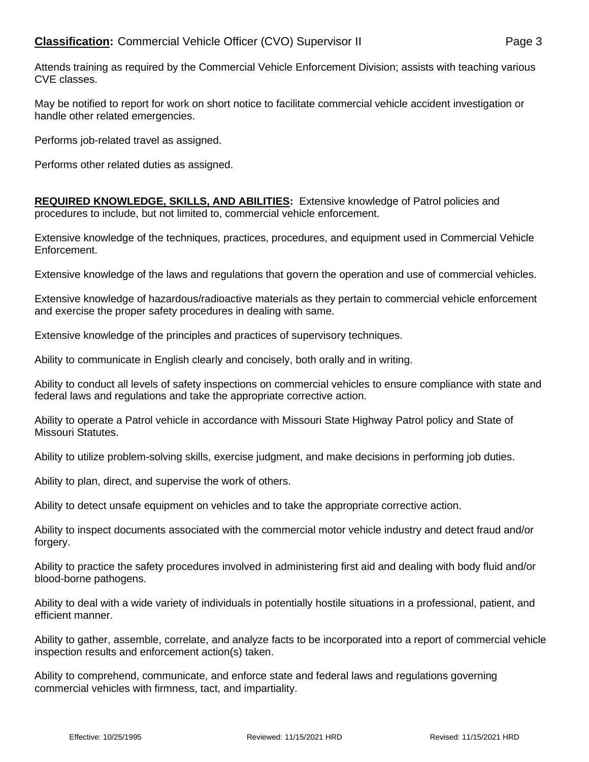May be notified to report for work on short notice to facilitate commercial vehicle accident investigation or handle other related emergencies.

Performs job-related travel as assigned.

Performs other related duties as assigned.

**REQUIRED KNOWLEDGE, SKILLS, AND ABILITIES:** Extensive knowledge of Patrol policies and procedures to include, but not limited to, commercial vehicle enforcement.

Extensive knowledge of the techniques, practices, procedures, and equipment used in Commercial Vehicle Enforcement.

Extensive knowledge of the laws and regulations that govern the operation and use of commercial vehicles.

Extensive knowledge of hazardous/radioactive materials as they pertain to commercial vehicle enforcement and exercise the proper safety procedures in dealing with same.

Extensive knowledge of the principles and practices of supervisory techniques.

Ability to communicate in English clearly and concisely, both orally and in writing.

Ability to conduct all levels of safety inspections on commercial vehicles to ensure compliance with state and federal laws and regulations and take the appropriate corrective action.

Ability to operate a Patrol vehicle in accordance with Missouri State Highway Patrol policy and State of Missouri Statutes.

Ability to utilize problem-solving skills, exercise judgment, and make decisions in performing job duties.

Ability to plan, direct, and supervise the work of others.

Ability to detect unsafe equipment on vehicles and to take the appropriate corrective action.

Ability to inspect documents associated with the commercial motor vehicle industry and detect fraud and/or forgery.

Ability to practice the safety procedures involved in administering first aid and dealing with body fluid and/or blood-borne pathogens.

Ability to deal with a wide variety of individuals in potentially hostile situations in a professional, patient, and efficient manner.

Ability to gather, assemble, correlate, and analyze facts to be incorporated into a report of commercial vehicle inspection results and enforcement action(s) taken.

Ability to comprehend, communicate, and enforce state and federal laws and regulations governing commercial vehicles with firmness, tact, and impartiality.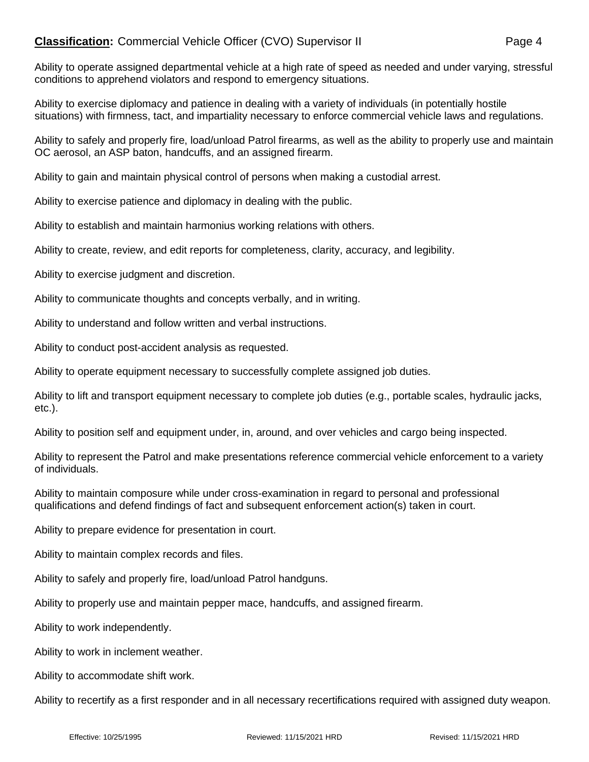## **Classification:** Commercial Vehicle Officer (CVO) Supervisor II Page 4

Ability to operate assigned departmental vehicle at a high rate of speed as needed and under varying, stressful conditions to apprehend violators and respond to emergency situations.

Ability to exercise diplomacy and patience in dealing with a variety of individuals (in potentially hostile situations) with firmness, tact, and impartiality necessary to enforce commercial vehicle laws and regulations.

Ability to safely and properly fire, load/unload Patrol firearms, as well as the ability to properly use and maintain OC aerosol, an ASP baton, handcuffs, and an assigned firearm.

Ability to gain and maintain physical control of persons when making a custodial arrest.

Ability to exercise patience and diplomacy in dealing with the public.

Ability to establish and maintain harmonius working relations with others.

Ability to create, review, and edit reports for completeness, clarity, accuracy, and legibility.

Ability to exercise judgment and discretion.

Ability to communicate thoughts and concepts verbally, and in writing.

Ability to understand and follow written and verbal instructions.

Ability to conduct post-accident analysis as requested.

Ability to operate equipment necessary to successfully complete assigned job duties.

Ability to lift and transport equipment necessary to complete job duties (e.g., portable scales, hydraulic jacks, etc.).

Ability to position self and equipment under, in, around, and over vehicles and cargo being inspected.

Ability to represent the Patrol and make presentations reference commercial vehicle enforcement to a variety of individuals.

Ability to maintain composure while under cross-examination in regard to personal and professional qualifications and defend findings of fact and subsequent enforcement action(s) taken in court.

Ability to prepare evidence for presentation in court.

Ability to maintain complex records and files.

Ability to safely and properly fire, load/unload Patrol handguns.

Ability to properly use and maintain pepper mace, handcuffs, and assigned firearm.

Ability to work independently.

Ability to work in inclement weather.

Ability to accommodate shift work.

Ability to recertify as a first responder and in all necessary recertifications required with assigned duty weapon.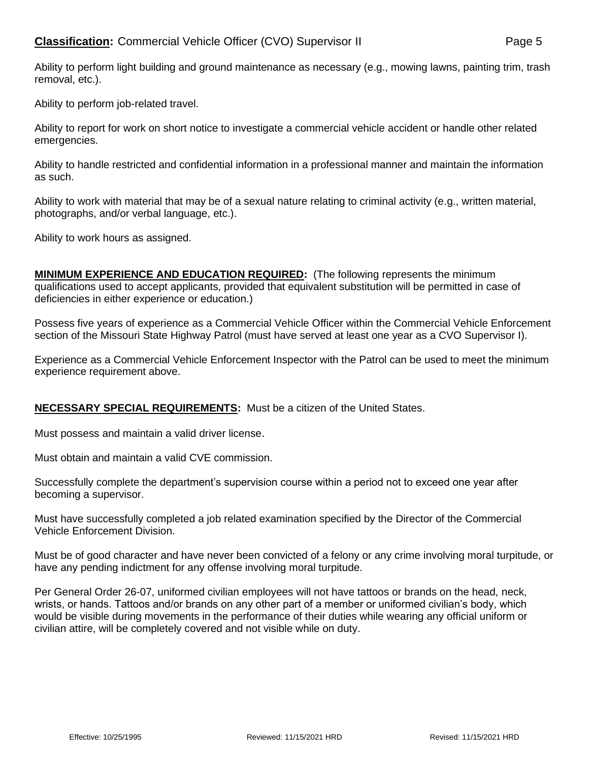Ability to perform light building and ground maintenance as necessary (e.g., mowing lawns, painting trim, trash removal, etc.).

Ability to perform job-related travel.

Ability to report for work on short notice to investigate a commercial vehicle accident or handle other related emergencies.

Ability to handle restricted and confidential information in a professional manner and maintain the information as such.

Ability to work with material that may be of a sexual nature relating to criminal activity (e.g., written material, photographs, and/or verbal language, etc.).

Ability to work hours as assigned.

**MINIMUM EXPERIENCE AND EDUCATION REQUIRED:** (The following represents the minimum qualifications used to accept applicants, provided that equivalent substitution will be permitted in case of deficiencies in either experience or education.)

Possess five years of experience as a Commercial Vehicle Officer within the Commercial Vehicle Enforcement section of the Missouri State Highway Patrol (must have served at least one year as a CVO Supervisor I).

Experience as a Commercial Vehicle Enforcement Inspector with the Patrol can be used to meet the minimum experience requirement above.

## **NECESSARY SPECIAL REQUIREMENTS:** Must be a citizen of the United States.

Must possess and maintain a valid driver license.

Must obtain and maintain a valid CVE commission.

Successfully complete the department's supervision course within a period not to exceed one year after becoming a supervisor.

Must have successfully completed a job related examination specified by the Director of the Commercial Vehicle Enforcement Division.

Must be of good character and have never been convicted of a felony or any crime involving moral turpitude, or have any pending indictment for any offense involving moral turpitude.

Per General Order 26-07, uniformed civilian employees will not have tattoos or brands on the head, neck, wrists, or hands. Tattoos and/or brands on any other part of a member or uniformed civilian's body, which would be visible during movements in the performance of their duties while wearing any official uniform or civilian attire, will be completely covered and not visible while on duty.